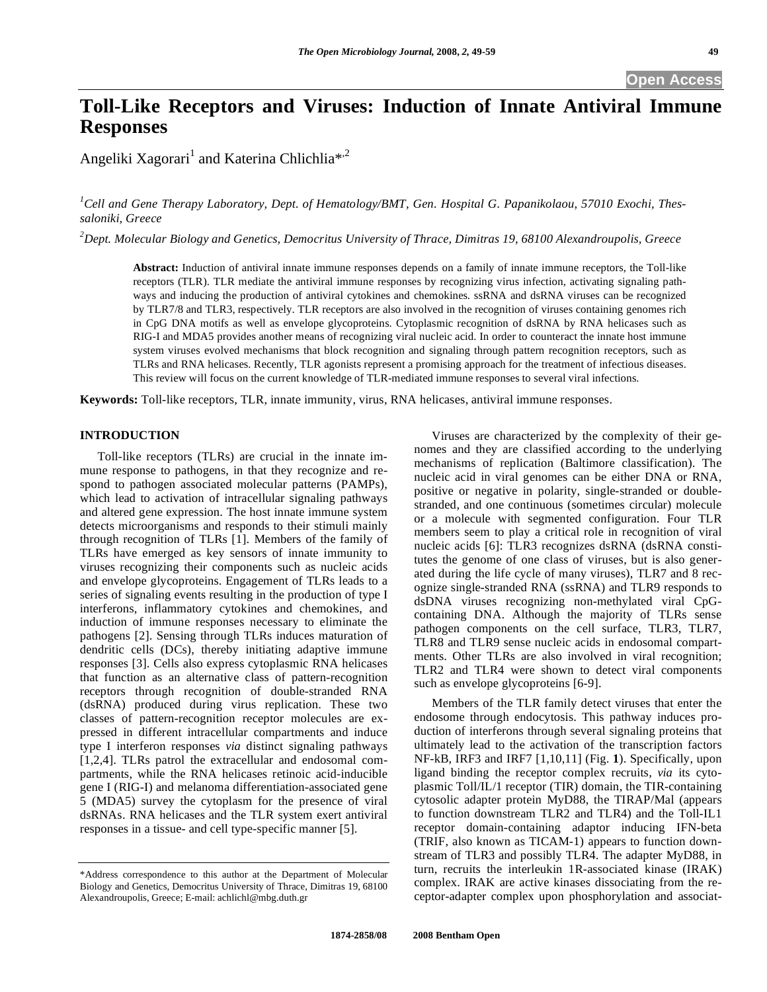# **Toll-Like Receptors and Viruses: Induction of Innate Antiviral Immune Responses**

Angeliki Xagorari<sup>1</sup> and Katerina Chlichlia<sup>\*,2</sup>

*1 Cell and Gene Therapy Laboratory, Dept. of Hematology/BMT, Gen. Hospital G. Papanikolaou, 57010 Exochi, Thessaloniki, Greece* 

*2 Dept. Molecular Biology and Genetics, Democritus University of Thrace, Dimitras 19, 68100 Alexandroupolis, Greece* 

**Abstract:** Induction of antiviral innate immune responses depends on a family of innate immune receptors, the Toll-like receptors (TLR). TLR mediate the antiviral immune responses by recognizing virus infection, activating signaling pathways and inducing the production of antiviral cytokines and chemokines. ssRNA and dsRNA viruses can be recognized by TLR7/8 and TLR3, respectively. TLR receptors are also involved in the recognition of viruses containing genomes rich in CpG DNA motifs as well as envelope glycoproteins. Cytoplasmic recognition of dsRNA by RNA helicases such as RIG-I and MDA5 provides another means of recognizing viral nucleic acid. In order to counteract the innate host immune system viruses evolved mechanisms that block recognition and signaling through pattern recognition receptors, such as TLRs and RNA helicases. Recently, TLR agonists represent a promising approach for the treatment of infectious diseases. This review will focus on the current knowledge of TLR-mediated immune responses to several viral infections.

**Keywords:** Toll-like receptors, TLR, innate immunity, virus, RNA helicases, antiviral immune responses.

#### **INTRODUCTION**

 Toll-like receptors (TLRs) are crucial in the innate immune response to pathogens, in that they recognize and respond to pathogen associated molecular patterns (PAMPs), which lead to activation of intracellular signaling pathways and altered gene expression. The host innate immune system detects microorganisms and responds to their stimuli mainly through recognition of TLRs [1]. Members of the family of TLRs have emerged as key sensors of innate immunity to viruses recognizing their components such as nucleic acids and envelope glycoproteins. Engagement of TLRs leads to a series of signaling events resulting in the production of type I interferons, inflammatory cytokines and chemokines, and induction of immune responses necessary to eliminate the pathogens [2]. Sensing through TLRs induces maturation of dendritic cells (DCs), thereby initiating adaptive immune responses [3]. Cells also express cytoplasmic RNA helicases that function as an alternative class of pattern-recognition receptors through recognition of double-stranded RNA (dsRNA) produced during virus replication. These two classes of pattern-recognition receptor molecules are expressed in different intracellular compartments and induce type I interferon responses *via* distinct signaling pathways [1,2,4]. TLRs patrol the extracellular and endosomal compartments, while the RNA helicases retinoic acid-inducible gene I (RIG-I) and melanoma differentiation-associated gene 5 (MDA5) survey the cytoplasm for the presence of viral dsRNAs. RNA helicases and the TLR system exert antiviral responses in a tissue- and cell type-specific manner [5].

 Viruses are characterized by the complexity of their genomes and they are classified according to the underlying mechanisms of replication (Baltimore classification). The nucleic acid in viral genomes can be either DNA or RNA, positive or negative in polarity, single-stranded or doublestranded, and one continuous (sometimes circular) molecule or a molecule with segmented configuration. Four TLR members seem to play a critical role in recognition of viral nucleic acids [6]: TLR3 recognizes dsRNA (dsRNA constitutes the genome of one class of viruses, but is also generated during the life cycle of many viruses), TLR7 and 8 recognize single-stranded RNA (ssRNA) and TLR9 responds to dsDNA viruses recognizing non-methylated viral CpGcontaining DNA. Although the majority of TLRs sense pathogen components on the cell surface, TLR3, TLR7, TLR8 and TLR9 sense nucleic acids in endosomal compartments. Other TLRs are also involved in viral recognition; TLR2 and TLR4 were shown to detect viral components such as envelope glycoproteins [6-9].

 Members of the TLR family detect viruses that enter the endosome through endocytosis. This pathway induces production of interferons through several signaling proteins that ultimately lead to the activation of the transcription factors NF-kB, IRF3 and IRF7 [1,10,11] (Fig. **1**). Specifically, upon ligand binding the receptor complex recruits, *via* its cytoplasmic Toll/IL/1 receptor (TIR) domain, the TIR-containing cytosolic adapter protein MyD88, the TIRAP/Mal (appears to function downstream TLR2 and TLR4) and the Toll-IL1 receptor domain-containing adaptor inducing IFN-beta (TRIF, also known as TICAM-1) appears to function downstream of TLR3 and possibly TLR4. The adapter MyD88, in turn, recruits the interleukin 1R-associated kinase (IRAK) complex. IRAK are active kinases dissociating from the receptor-adapter complex upon phosphorylation and associat-

<sup>\*</sup>Address correspondence to this author at the Department of Molecular Biology and Genetics, Democritus University of Thrace, Dimitras 19, 68100 Alexandroupolis, Greece; E-mail: achlichl@mbg.duth.gr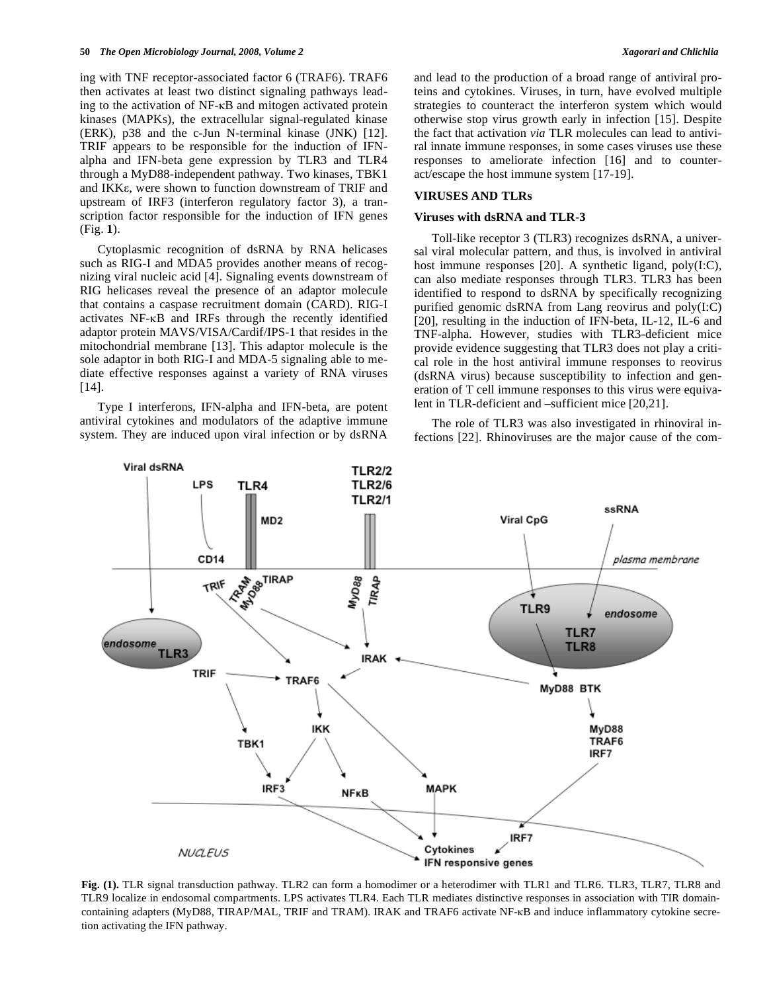ing with TNF receptor-associated factor 6 (TRAF6). TRAF6 then activates at least two distinct signaling pathways leading to the activation of  $NF$ - $\kappa$ B and mitogen activated protein kinases (MAPKs), the extracellular signal-regulated kinase (ERK), p38 and the c-Jun N-terminal kinase (JNK) [12]. TRIF appears to be responsible for the induction of IFNalpha and IFN-beta gene expression by TLR3 and TLR4 through a MyD88-independent pathway. Two kinases, TBK1 and IKKE, were shown to function downstream of TRIF and upstream of IRF3 (interferon regulatory factor 3), a transcription factor responsible for the induction of IFN genes (Fig. **1**).

 Cytoplasmic recognition of dsRNA by RNA helicases such as RIG-I and MDA5 provides another means of recognizing viral nucleic acid [4]. Signaling events downstream of RIG helicases reveal the presence of an adaptor molecule that contains a caspase recruitment domain (CARD). RIG-I activates  $NF-\kappa B$  and IRFs through the recently identified adaptor protein MAVS/VISA/Cardif/IPS-1 that resides in the mitochondrial membrane [13]. This adaptor molecule is the sole adaptor in both RIG-I and MDA-5 signaling able to mediate effective responses against a variety of RNA viruses [14].

 Type I interferons, IFN-alpha and IFN-beta, are potent antiviral cytokines and modulators of the adaptive immune system. They are induced upon viral infection or by dsRNA and lead to the production of a broad range of antiviral proteins and cytokines. Viruses, in turn, have evolved multiple strategies to counteract the interferon system which would otherwise stop virus growth early in infection [15]. Despite the fact that activation *via* TLR molecules can lead to antiviral innate immune responses, in some cases viruses use these responses to ameliorate infection [16] and to counteract/escape the host immune system [17-19].

#### **VIRUSES AND TLRs**

#### **Viruses with dsRNA and TLR-3**

 Toll-like receptor 3 (TLR3) recognizes dsRNA, a universal viral molecular pattern, and thus, is involved in antiviral host immune responses [20]. A synthetic ligand, poly(I:C), can also mediate responses through TLR3. TLR3 has been identified to respond to dsRNA by specifically recognizing purified genomic dsRNA from Lang reovirus and poly(I:C) [20], resulting in the induction of IFN-beta, IL-12, IL-6 and TNF-alpha. However, studies with TLR3-deficient mice provide evidence suggesting that TLR3 does not play a critical role in the host antiviral immune responses to reovirus (dsRNA virus) because susceptibility to infection and generation of T cell immune responses to this virus were equivalent in TLR-deficient and –sufficient mice [20,21].

 The role of TLR3 was also investigated in rhinoviral infections [22]. Rhinoviruses are the major cause of the com-



**Fig. (1).** TLR signal transduction pathway. TLR2 can form a homodimer or a heterodimer with TLR1 and TLR6. TLR3, TLR7, TLR8 and TLR9 localize in endosomal compartments. LPS activates TLR4. Each TLR mediates distinctive responses in association with TIR domaincontaining adapters (MyD88, TIRAP/MAL, TRIF and TRAM). IRAK and TRAF6 activate NF-KB and induce inflammatory cytokine secretion activating the IFN pathway.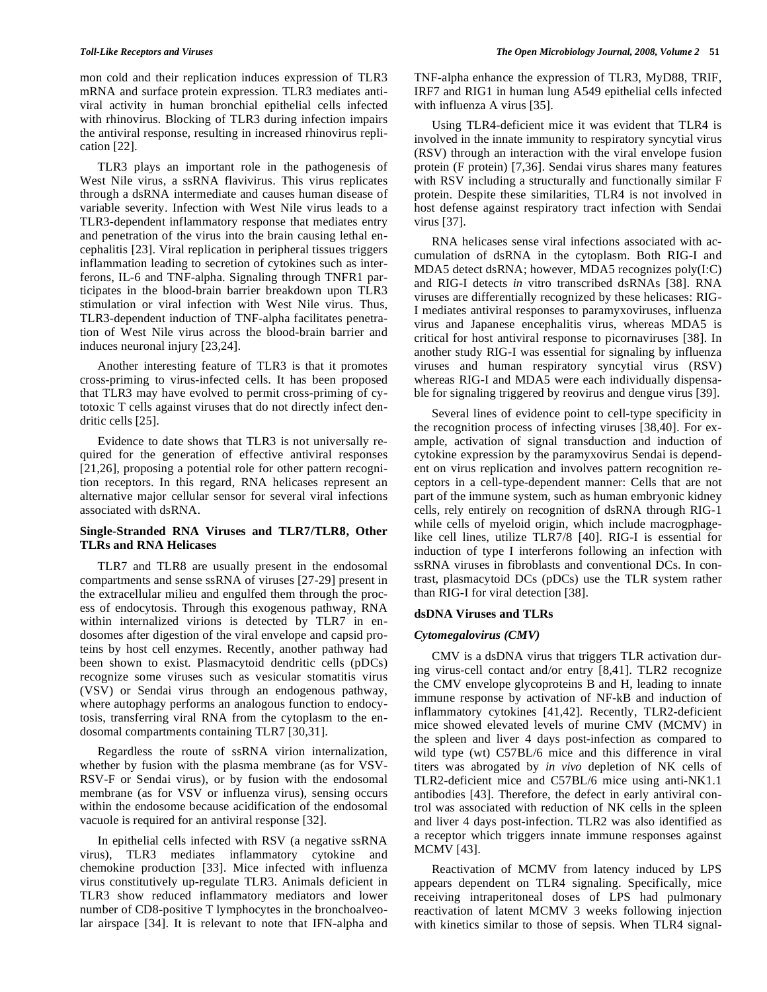mon cold and their replication induces expression of TLR3 mRNA and surface protein expression. TLR3 mediates antiviral activity in human bronchial epithelial cells infected with rhinovirus. Blocking of TLR3 during infection impairs the antiviral response, resulting in increased rhinovirus replication [22].

 TLR3 plays an important role in the pathogenesis of West Nile virus, a ssRNA flavivirus. This virus replicates through a dsRNA intermediate and causes human disease of variable severity. Infection with West Nile virus leads to a TLR3-dependent inflammatory response that mediates entry and penetration of the virus into the brain causing lethal encephalitis [23]. Viral replication in peripheral tissues triggers inflammation leading to secretion of cytokines such as interferons, IL-6 and TNF-alpha. Signaling through TNFR1 participates in the blood-brain barrier breakdown upon TLR3 stimulation or viral infection with West Nile virus. Thus, TLR3-dependent induction of TNF-alpha facilitates penetration of West Nile virus across the blood-brain barrier and induces neuronal injury [23,24].

 Another interesting feature of TLR3 is that it promotes cross-priming to virus-infected cells. It has been proposed that TLR3 may have evolved to permit cross-priming of cytotoxic T cells against viruses that do not directly infect dendritic cells [25].

 Evidence to date shows that TLR3 is not universally required for the generation of effective antiviral responses [21,26], proposing a potential role for other pattern recognition receptors. In this regard, RNA helicases represent an alternative major cellular sensor for several viral infections associated with dsRNA.

### **Single-Stranded RNA Viruses and TLR7/TLR8, Other TLRs and RNA Helicases**

 TLR7 and TLR8 are usually present in the endosomal compartments and sense ssRNA of viruses [27-29] present in the extracellular milieu and engulfed them through the process of endocytosis. Through this exogenous pathway, RNA within internalized virions is detected by TLR7 in endosomes after digestion of the viral envelope and capsid proteins by host cell enzymes. Recently, another pathway had been shown to exist. Plasmacytoid dendritic cells (pDCs) recognize some viruses such as vesicular stomatitis virus (VSV) or Sendai virus through an endogenous pathway, where autophagy performs an analogous function to endocytosis, transferring viral RNA from the cytoplasm to the endosomal compartments containing TLR7 [30,31].

 Regardless the route of ssRNA virion internalization, whether by fusion with the plasma membrane (as for VSV-RSV-F or Sendai virus), or by fusion with the endosomal membrane (as for VSV or influenza virus), sensing occurs within the endosome because acidification of the endosomal vacuole is required for an antiviral response [32].

 In epithelial cells infected with RSV (a negative ssRNA virus), TLR3 mediates inflammatory cytokine and chemokine production [33]. Mice infected with influenza virus constitutively up-regulate TLR3. Animals deficient in TLR3 show reduced inflammatory mediators and lower number of CD8-positive T lymphocytes in the bronchoalveolar airspace [34]. It is relevant to note that IFN-alpha and

TNF-alpha enhance the expression of TLR3, MyD88, TRIF, IRF7 and RIG1 in human lung A549 epithelial cells infected with influenza A virus [35].

 Using TLR4-deficient mice it was evident that TLR4 is involved in the innate immunity to respiratory syncytial virus (RSV) through an interaction with the viral envelope fusion protein (F protein) [7,36]. Sendai virus shares many features with RSV including a structurally and functionally similar F protein. Despite these similarities, TLR4 is not involved in host defense against respiratory tract infection with Sendai virus [37].

 RNA helicases sense viral infections associated with accumulation of dsRNA in the cytoplasm. Both RIG-I and MDA5 detect dsRNA; however, MDA5 recognizes poly(I:C) and RIG-I detects *in* vitro transcribed dsRNAs [38]. RNA viruses are differentially recognized by these helicases: RIG-I mediates antiviral responses to paramyxoviruses, influenza virus and Japanese encephalitis virus, whereas MDA5 is critical for host antiviral response to picornaviruses [38]. In another study RIG-I was essential for signaling by influenza viruses and human respiratory syncytial virus (RSV) whereas RIG-I and MDA5 were each individually dispensable for signaling triggered by reovirus and dengue virus [39].

 Several lines of evidence point to cell-type specificity in the recognition process of infecting viruses [38,40]. For example, activation of signal transduction and induction of cytokine expression by the paramyxovirus Sendai is dependent on virus replication and involves pattern recognition receptors in a cell-type-dependent manner: Cells that are not part of the immune system, such as human embryonic kidney cells, rely entirely on recognition of dsRNA through RIG-1 while cells of myeloid origin, which include macrogphagelike cell lines, utilize TLR7/8 [40]. RIG-I is essential for induction of type I interferons following an infection with ssRNA viruses in fibroblasts and conventional DCs. In contrast, plasmacytoid DCs (pDCs) use the TLR system rather than RIG-I for viral detection [38].

### **dsDNA Viruses and TLRs**

### *Cytomegalovirus (CMV)*

 CMV is a dsDNA virus that triggers TLR activation during virus-cell contact and/or entry [8,41]. TLR2 recognize the CMV envelope glycoproteins B and H, leading to innate immune response by activation of NF-kB and induction of inflammatory cytokines [41,42]. Recently, TLR2-deficient mice showed elevated levels of murine CMV (MCMV) in the spleen and liver 4 days post-infection as compared to wild type (wt) C57BL/6 mice and this difference in viral titers was abrogated by *in vivo* depletion of NK cells of TLR2-deficient mice and C57BL/6 mice using anti-NK1.1 antibodies [43]. Therefore, the defect in early antiviral control was associated with reduction of NK cells in the spleen and liver 4 days post-infection. TLR2 was also identified as a receptor which triggers innate immune responses against MCMV [43].

 Reactivation of MCMV from latency induced by LPS appears dependent on TLR4 signaling. Specifically, mice receiving intraperitoneal doses of LPS had pulmonary reactivation of latent MCMV 3 weeks following injection with kinetics similar to those of sepsis. When TLR4 signal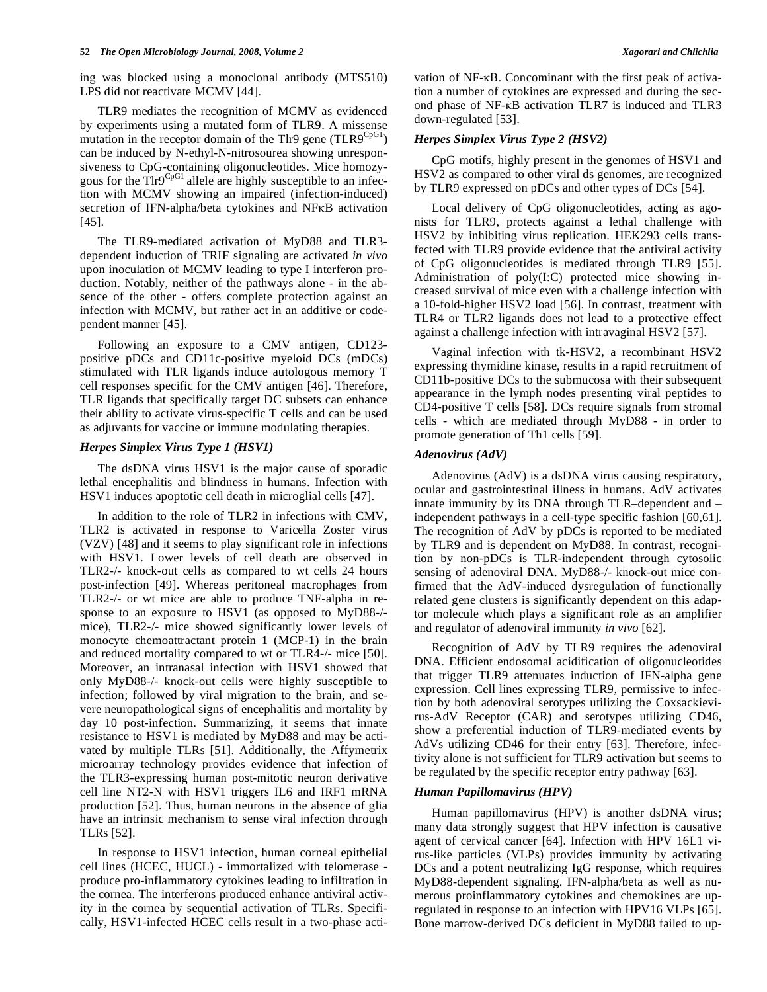ing was blocked using a monoclonal antibody (MTS510) LPS did not reactivate MCMV [44].

 TLR9 mediates the recognition of MCMV as evidenced by experiments using a mutated form of TLR9. A missense mutation in the receptor domain of the Tlr9 gene  $(TLR9^{CpG1})$ can be induced by N-ethyl-N-nitrosourea showing unresponsiveness to CpG-containing oligonucleotides. Mice homozygous for the Tlr9<sup>CpG1</sup> allele are highly susceptible to an infection with MCMV showing an impaired (infection-induced) secretion of IFN-alpha/beta cytokines and NFKB activation [45].

 The TLR9-mediated activation of MyD88 and TLR3 dependent induction of TRIF signaling are activated *in vivo* upon inoculation of MCMV leading to type I interferon production. Notably, neither of the pathways alone - in the absence of the other - offers complete protection against an infection with MCMV, but rather act in an additive or codependent manner [45].

 Following an exposure to a CMV antigen, CD123 positive pDCs and CD11c-positive myeloid DCs (mDCs) stimulated with TLR ligands induce autologous memory T cell responses specific for the CMV antigen [46]. Therefore, TLR ligands that specifically target DC subsets can enhance their ability to activate virus-specific T cells and can be used as adjuvants for vaccine or immune modulating therapies.

#### *Herpes Simplex Virus Type 1 (HSV1)*

 The dsDNA virus HSV1 is the major cause of sporadic lethal encephalitis and blindness in humans. Infection with HSV1 induces apoptotic cell death in microglial cells [47].

 In addition to the role of TLR2 in infections with CMV, TLR2 is activated in response to Varicella Zoster virus (VZV) [48] and it seems to play significant role in infections with HSV1. Lower levels of cell death are observed in TLR2-/- knock-out cells as compared to wt cells 24 hours post-infection [49]. Whereas peritoneal macrophages from TLR2-/- or wt mice are able to produce TNF-alpha in response to an exposure to HSV1 (as opposed to MyD88-/ mice), TLR2-/- mice showed significantly lower levels of monocyte chemoattractant protein 1 (MCP-1) in the brain and reduced mortality compared to wt or TLR4-/- mice [50]. Moreover, an intranasal infection with HSV1 showed that only MyD88-/- knock-out cells were highly susceptible to infection; followed by viral migration to the brain, and severe neuropathological signs of encephalitis and mortality by day 10 post-infection. Summarizing, it seems that innate resistance to HSV1 is mediated by MyD88 and may be activated by multiple TLRs [51]. Additionally, the Affymetrix microarray technology provides evidence that infection of the TLR3-expressing human post-mitotic neuron derivative cell line NT2-N with HSV1 triggers IL6 and IRF1 mRNA production [52]. Thus, human neurons in the absence of glia have an intrinsic mechanism to sense viral infection through TLRs [52].

 In response to HSV1 infection, human corneal epithelial cell lines (HCEC, HUCL) - immortalized with telomerase produce pro-inflammatory cytokines leading to infiltration in the cornea. The interferons produced enhance antiviral activity in the cornea by sequential activation of TLRs. Specifically, HSV1-infected HCEC cells result in a two-phase acti-

#### *Herpes Simplex Virus Type 2 (HSV2)*

 CpG motifs, highly present in the genomes of HSV1 and HSV2 as compared to other viral ds genomes, are recognized by TLR9 expressed on pDCs and other types of DCs [54].

 Local delivery of CpG oligonucleotides, acting as agonists for TLR9, protects against a lethal challenge with HSV2 by inhibiting virus replication. HEK293 cells transfected with TLR9 provide evidence that the antiviral activity of CpG oligonucleotides is mediated through TLR9 [55]. Administration of poly(I:C) protected mice showing increased survival of mice even with a challenge infection with a 10-fold-higher HSV2 load [56]. In contrast, treatment with TLR4 or TLR2 ligands does not lead to a protective effect against a challenge infection with intravaginal HSV2 [57].

 Vaginal infection with tk-HSV2, a recombinant HSV2 expressing thymidine kinase, results in a rapid recruitment of CD11b-positive DCs to the submucosa with their subsequent appearance in the lymph nodes presenting viral peptides to CD4-positive T cells [58]. DCs require signals from stromal cells - which are mediated through MyD88 - in order to promote generation of Th1 cells [59].

#### *Adenovirus (AdV)*

 Adenovirus (AdV) is a dsDNA virus causing respiratory, ocular and gastrointestinal illness in humans. AdV activates innate immunity by its DNA through TLR–dependent and – independent pathways in a cell-type specific fashion [60,61]. The recognition of AdV by pDCs is reported to be mediated by TLR9 and is dependent on MyD88. In contrast, recognition by non-pDCs is TLR-independent through cytosolic sensing of adenoviral DNA. MyD88-/- knock-out mice confirmed that the AdV-induced dysregulation of functionally related gene clusters is significantly dependent on this adaptor molecule which plays a significant role as an amplifier and regulator of adenoviral immunity *in vivo* [62].

 Recognition of AdV by TLR9 requires the adenoviral DNA. Efficient endosomal acidification of oligonucleotides that trigger TLR9 attenuates induction of IFN-alpha gene expression. Cell lines expressing TLR9, permissive to infection by both adenoviral serotypes utilizing the Coxsackievirus-AdV Receptor (CAR) and serotypes utilizing CD46, show a preferential induction of TLR9-mediated events by AdVs utilizing CD46 for their entry [63]. Therefore, infectivity alone is not sufficient for TLR9 activation but seems to be regulated by the specific receptor entry pathway [63].

#### *Human Papillomavirus (HPV)*

 Human papillomavirus (HPV) is another dsDNA virus; many data strongly suggest that HPV infection is causative agent of cervical cancer [64]. Infection with HPV 16L1 virus-like particles (VLPs) provides immunity by activating DCs and a potent neutralizing IgG response, which requires MyD88-dependent signaling. IFN-alpha/beta as well as numerous proinflammatory cytokines and chemokines are upregulated in response to an infection with HPV16 VLPs [65]. Bone marrow-derived DCs deficient in MyD88 failed to up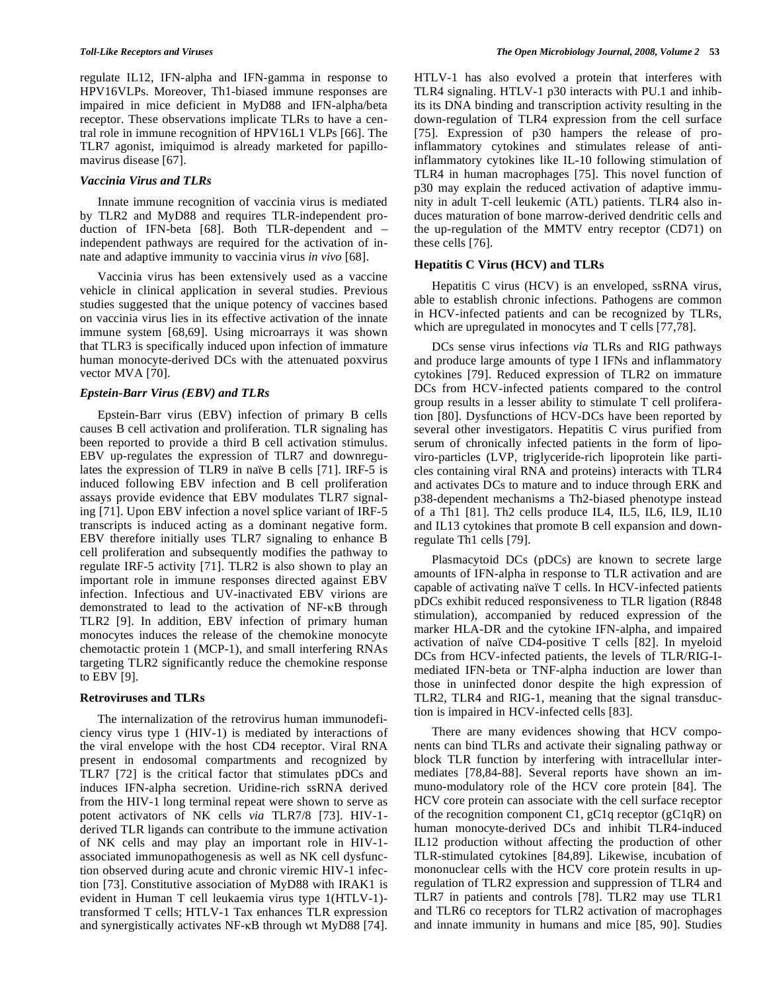regulate IL12, IFN-alpha and IFN-gamma in response to HPV16VLPs. Moreover, Th1-biased immune responses are impaired in mice deficient in MyD88 and IFN-alpha/beta receptor. These observations implicate TLRs to have a central role in immune recognition of HPV16L1 VLPs [66]. The TLR7 agonist, imiquimod is already marketed for papillomavirus disease [67].

#### *Vaccinia Virus and TLRs*

 Innate immune recognition of vaccinia virus is mediated by TLR2 and MyD88 and requires TLR-independent production of IFN-beta [68]. Both TLR-dependent and – independent pathways are required for the activation of innate and adaptive immunity to vaccinia virus *in vivo* [68].

 Vaccinia virus has been extensively used as a vaccine vehicle in clinical application in several studies. Previous studies suggested that the unique potency of vaccines based on vaccinia virus lies in its effective activation of the innate immune system [68,69]. Using microarrays it was shown that TLR3 is specifically induced upon infection of immature human monocyte-derived DCs with the attenuated poxvirus vector MVA [70].

## *Epstein-Barr Virus (EBV) and TLRs*

 Epstein-Barr virus (EBV) infection of primary B cells causes B cell activation and proliferation. TLR signaling has been reported to provide a third B cell activation stimulus. EBV up-regulates the expression of TLR7 and downregulates the expression of TLR9 in naïve B cells [71]. IRF-5 is induced following EBV infection and B cell proliferation assays provide evidence that EBV modulates TLR7 signaling [71]. Upon EBV infection a novel splice variant of IRF-5 transcripts is induced acting as a dominant negative form. EBV therefore initially uses TLR7 signaling to enhance B cell proliferation and subsequently modifies the pathway to regulate IRF-5 activity [71]. TLR2 is also shown to play an important role in immune responses directed against EBV infection. Infectious and UV-inactivated EBV virions are demonstrated to lead to the activation of NF-KB through TLR2 [9]. In addition, EBV infection of primary human monocytes induces the release of the chemokine monocyte chemotactic protein 1 (MCP-1), and small interfering RNAs targeting TLR2 significantly reduce the chemokine response to EBV [9].

#### **Retroviruses and TLRs**

 The internalization of the retrovirus human immunodeficiency virus type 1 (HIV-1) is mediated by interactions of the viral envelope with the host CD4 receptor. Viral RNA present in endosomal compartments and recognized by TLR7 [72] is the critical factor that stimulates pDCs and induces IFN-alpha secretion. Uridine-rich ssRNA derived from the HIV-1 long terminal repeat were shown to serve as potent activators of NK cells *via* TLR7/8 [73]. HIV-1 derived TLR ligands can contribute to the immune activation of NK cells and may play an important role in HIV-1 associated immunopathogenesis as well as NK cell dysfunction observed during acute and chronic viremic HIV-1 infection [73]. Constitutive association of MyD88 with IRAK1 is evident in Human T cell leukaemia virus type 1(HTLV-1) transformed T cells; HTLV-1 Tax enhances TLR expression and synergistically activates NF-KB through wt MyD88 [74].

HTLV-1 has also evolved a protein that interferes with TLR4 signaling. HTLV-1 p30 interacts with PU.1 and inhibits its DNA binding and transcription activity resulting in the down-regulation of TLR4 expression from the cell surface [75]. Expression of p30 hampers the release of proinflammatory cytokines and stimulates release of antiinflammatory cytokines like IL-10 following stimulation of TLR4 in human macrophages [75]. This novel function of p30 may explain the reduced activation of adaptive immunity in adult T-cell leukemic (ATL) patients. TLR4 also induces maturation of bone marrow-derived dendritic cells and the up-regulation of the MMTV entry receptor (CD71) on these cells [76].

#### **-epatitis C Virus (HCV) and TLRs**

 Hepatitis C virus (HCV) is an enveloped, ssRNA virus, able to establish chronic infections. Pathogens are common in HCV-infected patients and can be recognized by TLRs, which are upregulated in monocytes and T cells [77,78].

 DCs sense virus infections *via* TLRs and RIG pathways and produce large amounts of type I IFNs and inflammatory cytokines [79]. Reduced expression of TLR2 on immature DCs from HCV-infected patients compared to the control group results in a lesser ability to stimulate T cell proliferation [80]. Dysfunctions of HCV-DCs have been reported by several other investigators. Hepatitis C virus purified from serum of chronically infected patients in the form of lipoviro-particles (LVP, triglyceride-rich lipoprotein like particles containing viral RNA and proteins) interacts with TLR4 and activates DCs to mature and to induce through ERK and p38-dependent mechanisms a Th2-biased phenotype instead of a Th1 [81]. Th2 cells produce IL4, IL5, IL6, IL9, IL10 and IL13 cytokines that promote B cell expansion and downregulate Th1 cells [79].

 Plasmacytoid DCs (pDCs) are known to secrete large amounts of IFN-alpha in response to TLR activation and are capable of activating naïve T cells. In HCV-infected patients pDCs exhibit reduced responsiveness to TLR ligation (R848 stimulation), accompanied by reduced expression of the marker HLA-DR and the cytokine IFN-alpha, and impaired activation of naïve CD4-positive T cells [82]. In myeloid DCs from HCV-infected patients, the levels of TLR/RIG-Imediated IFN-beta or TNF-alpha induction are lower than those in uninfected donor despite the high expression of TLR2, TLR4 and RIG-1, meaning that the signal transduction is impaired in HCV-infected cells [83].

 There are many evidences showing that HCV components can bind TLRs and activate their signaling pathway or block TLR function by interfering with intracellular intermediates [78,84-88]. Several reports have shown an immuno-modulatory role of the HCV core protein [84]. The HCV core protein can associate with the cell surface receptor of the recognition component C1, gC1q receptor (gC1qR) on human monocyte-derived DCs and inhibit TLR4-induced IL12 production without affecting the production of other TLR-stimulated cytokines [84,89]. Likewise, incubation of mononuclear cells with the HCV core protein results in upregulation of TLR2 expression and suppression of TLR4 and TLR7 in patients and controls [78]. TLR2 may use TLR1 and TLR6 co receptors for TLR2 activation of macrophages and innate immunity in humans and mice [85, 90]. Studies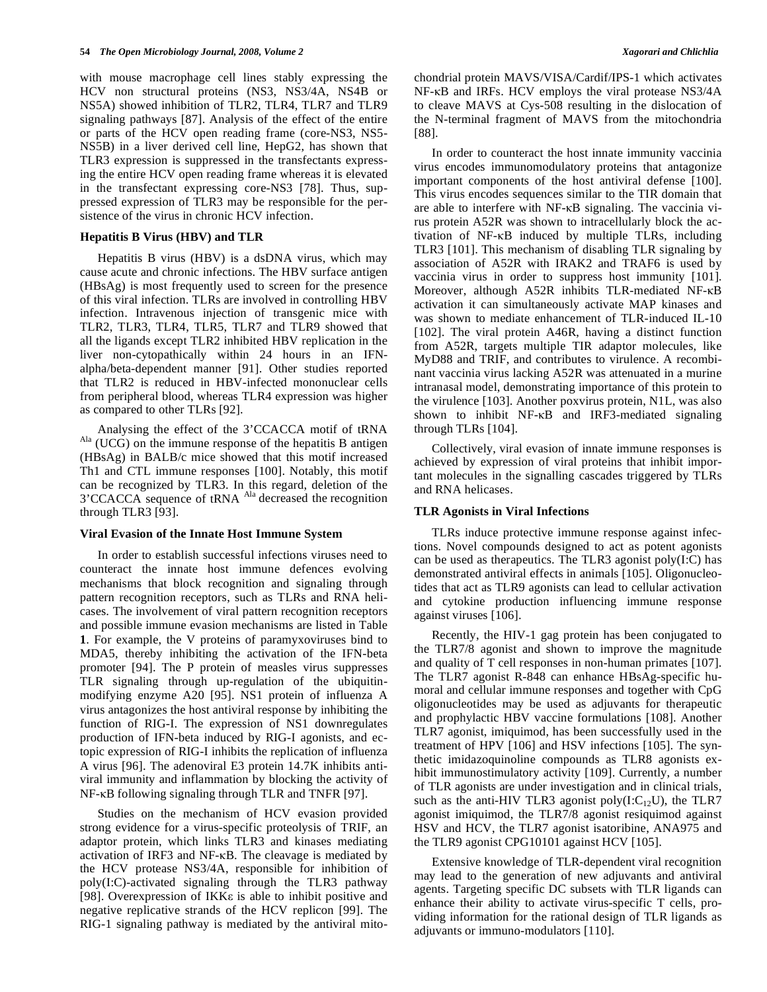with mouse macrophage cell lines stably expressing the HCV non structural proteins (NS3, NS3/4A, NS4B or NS5A) showed inhibition of TLR2, TLR4, TLR7 and TLR9 signaling pathways [87]. Analysis of the effect of the entire or parts of the HCV open reading frame (core-NS3, NS5- NS5B) in a liver derived cell line, HepG2, has shown that TLR3 expression is suppressed in the transfectants expressing the entire HCV open reading frame whereas it is elevated in the transfectant expressing core-NS3 [78]. Thus, suppressed expression of TLR3 may be responsible for the persistence of the virus in chronic HCV infection.

### **-epatitis B Virus (HBV) and TLR**

 Hepatitis B virus (HBV) is a dsDNA virus, which may cause acute and chronic infections. The HBV surface antigen (HBsAg) is most frequently used to screen for the presence of this viral infection. TLRs are involved in controlling HBV infection. Intravenous injection of transgenic mice with TLR2, TLR3, TLR4, TLR5, TLR7 and TLR9 showed that all the ligands except TLR2 inhibited HBV replication in the liver non-cytopathically within 24 hours in an IFNalpha/beta-dependent manner [91]. Other studies reported that TLR2 is reduced in HBV-infected mononuclear cells from peripheral blood, whereas TLR4 expression was higher as compared to other TLRs [92].

 Analysing the effect of the 3'CCACCA motif of tRNA  $A<sup>la</sup>$  (UCG) on the immune response of the hepatitis B antigen (HBsAg) in BALB/c mice showed that this motif increased Th1 and CTL immune responses [100]. Notably, this motif can be recognized by TLR3. In this regard, deletion of the 3'CCACCA sequence of tRNA <sup>Ala</sup> decreased the recognition through TLR3 [93].

#### **Viral Evasion of the Innate Host Immune System**

 In order to establish successful infections viruses need to counteract the innate host immune defences evolving mechanisms that block recognition and signaling through pattern recognition receptors, such as TLRs and RNA helicases. The involvement of viral pattern recognition receptors and possible immune evasion mechanisms are listed in Table **1**. For example, the V proteins of paramyxoviruses bind to MDA5, thereby inhibiting the activation of the IFN-beta promoter [94]. The P protein of measles virus suppresses TLR signaling through up-regulation of the ubiquitinmodifying enzyme A20 [95]. NS1 protein of influenza A virus antagonizes the host antiviral response by inhibiting the function of RIG-I. The expression of NS1 downregulates production of IFN-beta induced by RIG-I agonists, and ectopic expression of RIG-I inhibits the replication of influenza A virus [96]. The adenoviral E3 protein 14.7K inhibits antiviral immunity and inflammation by blocking the activity of  $NF$ - $KB$  following signaling through TLR and TNFR [97].

 Studies on the mechanism of HCV evasion provided strong evidence for a virus-specific proteolysis of TRIF, an adaptor protein, which links TLR3 and kinases mediating activation of IRF3 and NF- $\kappa$ B. The cleavage is mediated by the HCV protease NS3/4A, responsible for inhibition of poly(I:C)-activated signaling through the TLR3 pathway [98]. Overexpression of IKK $\varepsilon$  is able to inhibit positive and negative replicative strands of the HCV replicon [99]. The RIG-1 signaling pathway is mediated by the antiviral mitochondrial protein MAVS/VISA/Cardif/IPS-1 which activates NF-KB and IRFs. HCV employs the viral protease NS3/4A to cleave MAVS at Cys-508 resulting in the dislocation of the N-terminal fragment of MAVS from the mitochondria [88].

 In order to counteract the host innate immunity vaccinia virus encodes immunomodulatory proteins that antagonize important components of the host antiviral defense [100]. This virus encodes sequences similar to the TIR domain that are able to interfere with NF- $\kappa$ B signaling. The vaccinia virus protein A52R was shown to intracellularly block the activation of NF-KB induced by multiple TLRs, including TLR3 [101]. This mechanism of disabling TLR signaling by association of A52R with IRAK2 and TRAF6 is used by vaccinia virus in order to suppress host immunity [101]. Moreover, although A52R inhibits TLR-mediated NF-KB activation it can simultaneously activate MAP kinases and was shown to mediate enhancement of TLR-induced IL-10 [102]. The viral protein A46R, having a distinct function from A52R, targets multiple TIR adaptor molecules, like MyD88 and TRIF, and contributes to virulence. A recombinant vaccinia virus lacking A52R was attenuated in a murine intranasal model, demonstrating importance of this protein to the virulence [103]. Another poxvirus protein, N1L, was also shown to inhibit  $NF-\kappa B$  and  $IRF3$ -mediated signaling through TLRs [104].

 Collectively, viral evasion of innate immune responses is achieved by expression of viral proteins that inhibit important molecules in the signalling cascades triggered by TLRs and RNA helicases.

#### **TLR Agonists in Viral Infections**

 TLRs induce protective immune response against infections. Novel compounds designed to act as potent agonists can be used as therapeutics. The TLR3 agonist poly(I:C) has demonstrated antiviral effects in animals [105]. Oligonucleotides that act as TLR9 agonists can lead to cellular activation and cytokine production influencing immune response against viruses [106].

 Recently, the HIV-1 gag protein has been conjugated to the TLR7/8 agonist and shown to improve the magnitude and quality of T cell responses in non-human primates [107]. The TLR7 agonist R-848 can enhance HBsAg-specific humoral and cellular immune responses and together with CpG oligonucleotides may be used as adjuvants for therapeutic and prophylactic HBV vaccine formulations [108]. Another TLR7 agonist, imiquimod, has been successfully used in the treatment of HPV [106] and HSV infections [105]. The synthetic imidazoquinoline compounds as TLR8 agonists exhibit immunostimulatory activity [109]. Currently, a number of TLR agonists are under investigation and in clinical trials, such as the anti-HIV TLR3 agonist poly $(I:C_{12}U)$ , the TLR7 agonist imiquimod, the TLR7/8 agonist resiquimod against HSV and HCV, the TLR7 agonist isatoribine, ANA975 and the TLR9 agonist CPG10101 against HCV [105].

 Extensive knowledge of TLR-dependent viral recognition may lead to the generation of new adjuvants and antiviral agents. Targeting specific DC subsets with TLR ligands can enhance their ability to activate virus-specific T cells, providing information for the rational design of TLR ligands as adjuvants or immuno-modulators [110].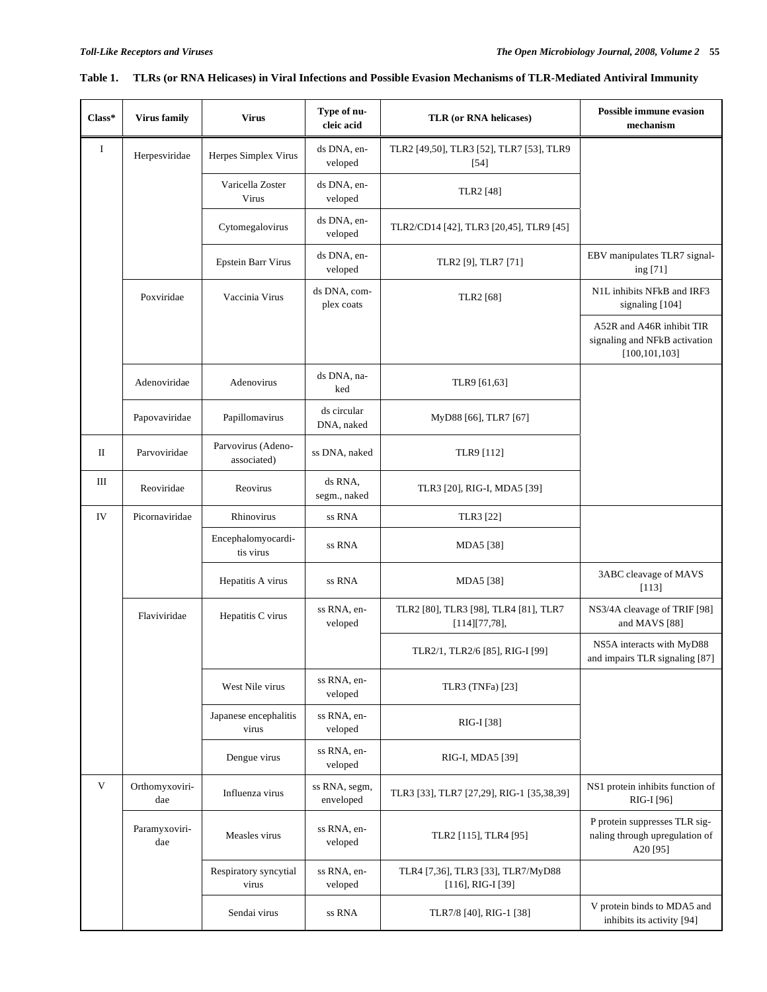| $Class*$    | <b>Virus family</b>   | Type of nu-<br><b>Virus</b><br>TLR (or RNA helicases)<br>cleic acid                                  |                            | <b>Possible immune evasion</b><br>mechanism                  |                                                                               |  |
|-------------|-----------------------|------------------------------------------------------------------------------------------------------|----------------------------|--------------------------------------------------------------|-------------------------------------------------------------------------------|--|
| $\bf{I}$    | Herpesviridae         | ds DNA, en-<br>TLR2 [49,50], TLR3 [52], TLR7 [53], TLR9<br>Herpes Simplex Virus<br>veloped<br>$[54]$ |                            |                                                              |                                                                               |  |
|             |                       | Varicella Zoster<br>Virus                                                                            | ds DNA, en-<br>veloped     | TLR2 [48]                                                    |                                                                               |  |
|             |                       | Cytomegalovirus                                                                                      | ds DNA, en-<br>veloped     | TLR2/CD14 [42], TLR3 [20,45], TLR9 [45]                      |                                                                               |  |
|             |                       | <b>Epstein Barr Virus</b>                                                                            | ds DNA, en-<br>veloped     | TLR2 [9], TLR7 [71]                                          | EBV manipulates TLR7 signal-<br>ing [71]                                      |  |
|             | Poxviridae            | Vaccinia Virus                                                                                       | ds DNA, com-<br>plex coats | TLR2 [68]                                                    | N1L inhibits NFkB and IRF3<br>signaling [104]                                 |  |
|             |                       |                                                                                                      |                            |                                                              | A52R and A46R inhibit TIR<br>signaling and NFkB activation<br>[100, 101, 103] |  |
|             | Adenoviridae          | Adenovirus                                                                                           | ds DNA, na-<br>ked         | TLR9 [61,63]                                                 |                                                                               |  |
|             | Papovaviridae         | Papillomavirus                                                                                       | ds circular<br>DNA, naked  | MyD88 [66], TLR7 [67]                                        |                                                                               |  |
| П           | Parvoviridae          | Parvovirus (Adeno-<br>associated)                                                                    | ss DNA, naked              | TLR9 [112]                                                   |                                                                               |  |
| Ш           | Reoviridae            | Reovirus                                                                                             | ds RNA,<br>segm., naked    | TLR3 [20], RIG-I, MDA5 [39]                                  |                                                                               |  |
| IV          | Picornaviridae        | Rhinovirus                                                                                           | ss RNA                     | TLR3 [22]                                                    |                                                                               |  |
|             |                       | Encephalomyocardi-<br>tis virus                                                                      | ss RNA                     | MDA5 [38]                                                    |                                                                               |  |
|             |                       | Hepatitis A virus                                                                                    | ss RNA                     | MDA5 [38]                                                    | 3ABC cleavage of MAVS<br>[113]                                                |  |
|             | Flaviviridae          | Hepatitis C virus                                                                                    | ss RNA, en-<br>veloped     | TLR2 [80], TLR3 [98], TLR4 [81], TLR7<br>$[114][77,78]$ ,    | NS3/4A cleavage of TRIF [98]<br>and MAVS [88]                                 |  |
|             |                       |                                                                                                      |                            | TLR2/1, TLR2/6 [85], RIG-I [99]                              | NS5A interacts with MyD88<br>and impairs TLR signaling [87]                   |  |
|             |                       | West Nile virus                                                                                      | ss RNA, en-<br>veloped     | TLR3 (TNFa) [23]                                             |                                                                               |  |
|             |                       | Japanese encephalitis<br>virus                                                                       | ss RNA, en-<br>veloped     | RIG-I [38]                                                   |                                                                               |  |
|             |                       | Dengue virus                                                                                         | ss RNA, en-<br>veloped     | RIG-I, MDA5 [39]                                             |                                                                               |  |
| $\mathbf V$ | Orthomyxoviri-<br>dae | Influenza virus                                                                                      | ss RNA, segm,<br>enveloped | TLR3 [33], TLR7 [27,29], RIG-1 [35,38,39]                    | NS1 protein inhibits function of<br>RIG-I [96]                                |  |
|             | Paramyxoviri-<br>dae  | Measles virus                                                                                        | ss RNA, en-<br>veloped     | TLR2 [115], TLR4 [95]                                        | P protein suppresses TLR sig-<br>naling through upregulation of<br>A20[95]    |  |
|             |                       | Respiratory syncytial<br>virus                                                                       | ss RNA, en-<br>veloped     | TLR4 [7,36], TLR3 [33], TLR7/MyD88<br>$[116]$ , RIG-I $[39]$ |                                                                               |  |
|             |                       | Sendai virus                                                                                         | ss RNA                     | TLR7/8 [40], RIG-1 [38]                                      | V protein binds to MDA5 and<br>inhibits its activity [94]                     |  |

# **Table 1. TLRs (or RNA Helicases) in Viral Infections and Possible Evasion Mechanisms of TLR-Mediated Antiviral Immunity**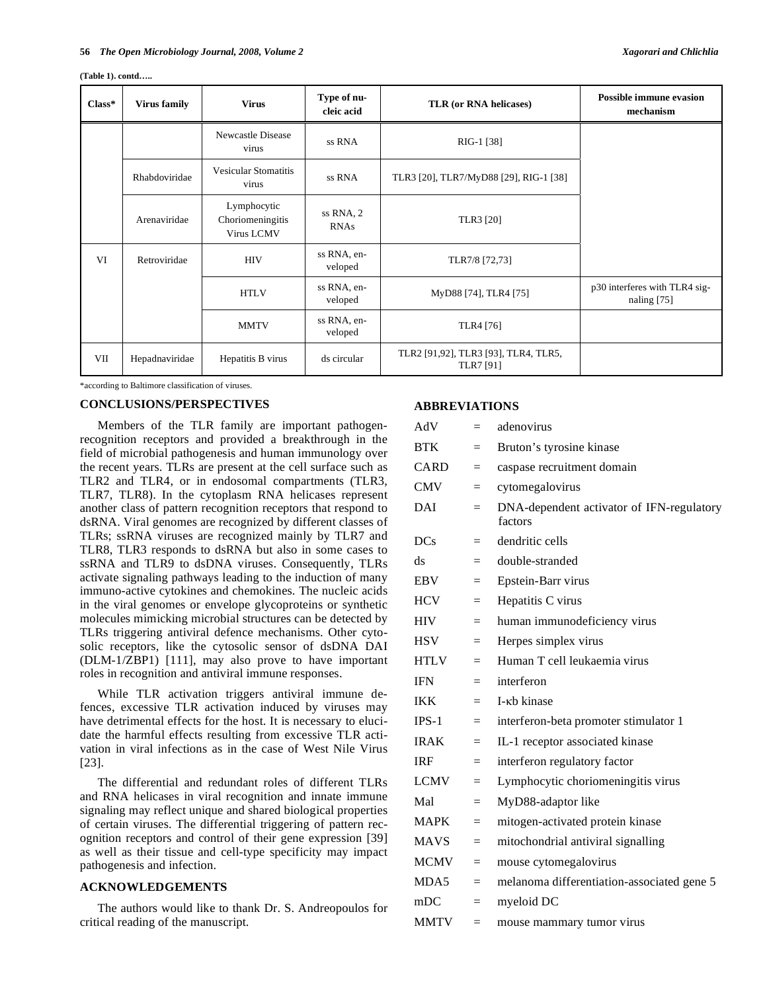#### **(Table 1). contd…..**

| $Class*$ | <b>Virus family</b> | <b>Virus</b>                                                                             | Type of nu-<br>cleic acid | TLR (or RNA helicases)                            | <b>Possible immune evasion</b><br>mechanism    |
|----------|---------------------|------------------------------------------------------------------------------------------|---------------------------|---------------------------------------------------|------------------------------------------------|
|          |                     | Newcastle Disease<br>virus                                                               | ss RNA                    | RIG-1 [38]                                        |                                                |
|          | Rhabdoviridae       | <b>Vesicular Stomatitis</b><br>ss RNA<br>TLR3 [20], TLR7/MyD88 [29], RIG-1 [38]<br>virus |                           |                                                   |                                                |
|          | Arenaviridae        | Lymphocytic<br>Choriomeningitis<br>Virus LCMV                                            | ss RNA, 2<br><b>RNAs</b>  | TLR3 [20]                                         |                                                |
| VI       | Retroviridae        | ss RNA, en-<br><b>HIV</b><br>TLR7/8 [72,73]<br>veloped                                   |                           |                                                   |                                                |
|          |                     | <b>HTLV</b>                                                                              | ss RNA, en-<br>veloped    | MyD88 [74], TLR4 [75]                             | p30 interferes with TLR4 sig-<br>naling $[75]$ |
|          |                     | <b>MMTV</b>                                                                              | ss RNA, en-<br>veloped    | TLR4 [76]                                         |                                                |
| VII      | Hepadnaviridae      | Hepatitis B virus                                                                        |                           | TLR2 [91,92], TLR3 [93], TLR4, TLR5,<br>TLR7 [91] |                                                |

\*according to Baltimore classification of viruses.

#### **CONCLUSIONS/PERSPECTIVES**

 Members of the TLR family are important pathogenrecognition receptors and provided a breakthrough in the field of microbial pathogenesis and human immunology over the recent years. TLRs are present at the cell surface such as TLR2 and TLR4, or in endosomal compartments (TLR3, TLR7, TLR8). In the cytoplasm RNA helicases represent another class of pattern recognition receptors that respond to dsRNA. Viral genomes are recognized by different classes of TLRs; ssRNA viruses are recognized mainly by TLR7 and TLR8, TLR3 responds to dsRNA but also in some cases to ssRNA and TLR9 to dsDNA viruses. Consequently, TLRs activate signaling pathways leading to the induction of many immuno-active cytokines and chemokines. The nucleic acids in the viral genomes or envelope glycoproteins or synthetic molecules mimicking microbial structures can be detected by TLRs triggering antiviral defence mechanisms. Other cytosolic receptors, like the cytosolic sensor of dsDNA DAI (DLM-1/ZBP1) [111], may also prove to have important roles in recognition and antiviral immune responses.

 While TLR activation triggers antiviral immune defences, excessive TLR activation induced by viruses may have detrimental effects for the host. It is necessary to elucidate the harmful effects resulting from excessive TLR activation in viral infections as in the case of West Nile Virus [23].

 The differential and redundant roles of different TLRs and RNA helicases in viral recognition and innate immune signaling may reflect unique and shared biological properties of certain viruses. The differential triggering of pattern recognition receptors and control of their gene expression [39] as well as their tissue and cell-type specificity may impact pathogenesis and infection.

### **ACKNOWLEDGEMENTS**

 The authors would like to thank Dr. S. Andreopoulos for critical reading of the manuscript.

#### **ABBREVIATIONS**

| AdV         | $=$ | adenovirus                                           |
|-------------|-----|------------------------------------------------------|
| <b>BTK</b>  | $=$ | Bruton's tyrosine kinase                             |
| CARD        | $=$ | caspase recruitment domain                           |
| <b>CMV</b>  | $=$ | cytomegalovirus                                      |
| DAI         | $=$ | DNA-dependent activator of IFN-regulatory<br>factors |
| <b>DCs</b>  | $=$ | dendritic cells                                      |
| ds          | $=$ | double-stranded                                      |
| <b>EBV</b>  | $=$ | Epstein-Barr virus                                   |
| <b>HCV</b>  | $=$ | Hepatitis C virus                                    |
| <b>HIV</b>  | $=$ | human immunodeficiency virus                         |
| <b>HSV</b>  | $=$ | Herpes simplex virus                                 |
| <b>HTLV</b> | $=$ | Human T cell leukaemia virus                         |
| <b>IFN</b>  | $=$ | interferon                                           |
| <b>IKK</b>  | $=$ | L-kh kinase                                          |
| $IPS-1$     | $=$ | interferon-beta promoter stimulator 1                |
| <b>IRAK</b> | $=$ | IL-1 receptor associated kinase                      |
| <b>IRF</b>  | $=$ | interferon regulatory factor                         |
| <b>LCMV</b> | $=$ | Lymphocytic choriomeningitis virus                   |
| Mal         | $=$ | MyD88-adaptor like                                   |
| <b>MAPK</b> | $=$ | mitogen-activated protein kinase                     |
| <b>MAVS</b> | $=$ | mitochondrial antiviral signalling                   |
| <b>MCMV</b> | $=$ | mouse cytomegalovirus                                |
| MDA5        | $=$ | melanoma differentiation-associated gene 5           |
| mDC         | $=$ | myeloid DC                                           |
| <b>MMTV</b> | $=$ | mouse mammary tumor virus                            |
|             |     |                                                      |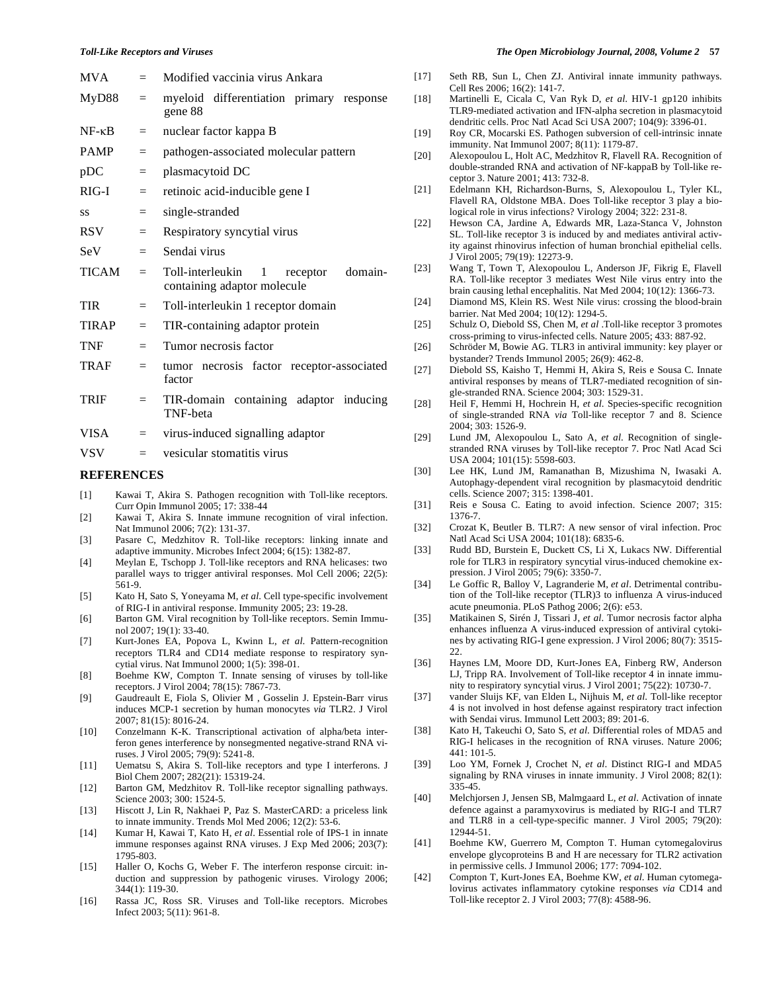#### **REFERENCES**

- [1] Kawai T, Akira S. Pathogen recognition with Toll-like receptors. Curr Opin Immunol 2005; 17: 338-44
- [2] Kawai T, Akira S. Innate immune recognition of viral infection. Nat Immunol 2006; 7(2): 131-37.
- [3] Pasare C, Medzhitov R. Toll-like receptors: linking innate and adaptive immunity. Microbes Infect 2004; 6(15): 1382-87.
- [4] Meylan E, Tschopp J. Toll-like receptors and RNA helicases: two parallel ways to trigger antiviral responses. Mol Cell 2006; 22(5): 561-9.
- [5] Kato H, Sato S, Yoneyama M, *et al*. Cell type-specific involvement of RIG-I in antiviral response. Immunity 2005; 23: 19-28.
- [6] Barton GM. Viral recognition by Toll-like receptors. Semin Immunol 2007; 19(1): 33-40.
- [7] Kurt-Jones EA, Popova L, Kwinn L, *et al*. Pattern-recognition receptors TLR4 and CD14 mediate response to respiratory syncytial virus. Nat Immunol 2000; 1(5): 398-01.
- [8] Boehme KW, Compton T. Innate sensing of viruses by toll-like receptors. J Virol 2004; 78(15): 7867-73.
- [9] Gaudreault E, Fiola S, Olivier M , Gosselin J. Epstein-Barr virus induces MCP-1 secretion by human monocytes *via* TLR2. J Virol 2007; 81(15): 8016-24.
- [10] Conzelmann K-K. Transcriptional activation of alpha/beta interferon genes interference by nonsegmented negative-strand RNA viruses. J Virol 2005; 79(9): 5241-8.
- [11] Uematsu S, Akira S. Toll-like receptors and type I interferons. J Biol Chem 2007; 282(21): 15319-24.
- [12] Barton GM, Medzhitov R. Toll-like receptor signalling pathways. Science 2003; 300: 1524-5.
- [13] Hiscott J, Lin R, Nakhaei P, Paz S. MasterCARD: a priceless link to innate immunity. Trends Mol Med 2006; 12(2): 53-6.
- [14] Kumar H, Kawai T, Kato H, *et al*. Essential role of IPS-1 in innate immune responses against RNA viruses. J Exp Med 2006; 203(7): 1795-803.
- [15] Haller O, Kochs G, Weber F. The interferon response circuit: induction and suppression by pathogenic viruses. Virology 2006; 344(1): 119-30.
- [16] Rassa JC, Ross SR. Viruses and Toll-like receptors. Microbes Infect 2003; 5(11): 961-8.

#### *Toll-Like Receptors and Viruses The Open Microbiology Journal, 2008, Volume 2* **57**

- [17] Seth RB, Sun L, Chen ZJ. Antiviral innate immunity pathways. Cell Res 2006; 16(2): 141-7.
- [18] Martinelli E, Cicala C, Van Ryk D, *et al*. HIV-1 gp120 inhibits TLR9-mediated activation and IFN-alpha secretion in plasmacytoid dendritic cells. Proc Natl Acad Sci USA 2007; 104(9): 3396-01.
- [19] Roy CR, Mocarski ES. Pathogen subversion of cell-intrinsic innate immunity. Nat Immunol 2007; 8(11): 1179-87.
- [20] Alexopoulou L, Holt AC, Medzhitov R, Flavell RA. Recognition of double-stranded RNA and activation of NF-kappaB by Toll-like receptor 3. Nature 2001; 413: 732-8.
- [21] Edelmann KH, Richardson-Burns, S, Alexopoulou L, Tyler KL, Flavell RA, Oldstone MBA. Does Toll-like receptor 3 play a biological role in virus infections? Virology 2004; 322: 231-8.
- [22] Hewson CA, Jardine A, Edwards MR, Laza-Stanca V, Johnston SL. Toll-like receptor 3 is induced by and mediates antiviral activity against rhinovirus infection of human bronchial epithelial cells. J Virol 2005; 79(19): 12273-9.
- [23] Wang T, Town T, Alexopoulou L, Anderson JF, Fikrig E, Flavell RA. Toll-like receptor 3 mediates West Nile virus entry into the brain causing lethal encephalitis. Nat Med 2004; 10(12): 1366-73.
- [24] Diamond MS, Klein RS. West Nile virus: crossing the blood-brain barrier. Nat Med 2004; 10(12): 1294-5.
- [25] Schulz O, Diebold SS, Chen M, *et al* .Toll-like receptor 3 promotes cross-priming to virus-infected cells. Nature 2005; 433: 887-92.
- [26] Schröder M, Bowie AG. TLR3 in antiviral immunity: key player or bystander? Trends Immunol 2005; 26(9): 462-8.
- [27] Diebold SS, Kaisho T, Hemmi H, Akira S, Reis e Sousa C. Innate antiviral responses by means of TLR7-mediated recognition of single-stranded RNA. Science 2004; 303: 1529-31.
- [28] Heil F, Hemmi H, Hochrein H, *et al*. Species-specific recognition of single-stranded RNA *via* Toll-like receptor 7 and 8. Science 2004; 303: 1526-9.
- [29] Lund JM, Alexopoulou L, Sato A, *et al*. Recognition of singlestranded RNA viruses by Toll-like receptor 7. Proc Natl Acad Sci USA 2004; 101(15): 5598-603.
- [30] Lee HK, Lund JM, Ramanathan B, Mizushima N, Iwasaki A. Autophagy-dependent viral recognition by plasmacytoid dendritic cells. Science 2007; 315: 1398-401.
- [31] Reis e Sousa C. Eating to avoid infection. Science 2007; 315: 1376-7.
- [32] Crozat K, Beutler B. TLR7: A new sensor of viral infection. Proc Natl Acad Sci USA 2004; 101(18): 6835-6.
- [33] Rudd BD, Burstein E, Duckett CS, Li X, Lukacs NW. Differential role for TLR3 in respiratory syncytial virus-induced chemokine expression. J Virol 2005; 79(6): 3350-7.
- [34] Le Goffic R, Balloy V, Lagranderie M, *et al*. Detrimental contribution of the Toll-like receptor (TLR)3 to influenza A virus-induced acute pneumonia. PLoS Pathog 2006; 2(6): e53.
- [35] Matikainen S, Sirén J, Tissari J, *et al*. Tumor necrosis factor alpha enhances influenza A virus-induced expression of antiviral cytokines by activating RIG-I gene expression. J Virol 2006; 80(7): 3515-  $22.2$
- [36] Haynes LM, Moore DD, Kurt-Jones EA, Finberg RW, Anderson LJ, Tripp RA. Involvement of Toll-like receptor 4 in innate immunity to respiratory syncytial virus. J Virol 2001; 75(22): 10730-7.
- [37] vander Sluijs KF, van Elden L, Nijhuis M, *et al*. Toll-like receptor 4 is not involved in host defense against respiratory tract infection with Sendai virus. Immunol Lett 2003; 89: 201-6.
- [38] Kato H, Takeuchi O, Sato S, *et al*. Differential roles of MDA5 and RIG-I helicases in the recognition of RNA viruses. Nature 2006; 441: 101-5.
- [39] Loo YM, Fornek J, Crochet N, *et al*. Distinct RIG-I and MDA5 signaling by RNA viruses in innate immunity. J Virol 2008; 82(1): 335-45.
- [40] Melchjorsen J, Jensen SB, Malmgaard L, *et al*. Activation of innate defence against a paramyxovirus is mediated by RIG-I and TLR7 and TLR8 in a cell-type-specific manner. J Virol 2005; 79(20): 12944-51.
- [41] Boehme KW, Guerrero M, Compton T. Human cytomegalovirus envelope glycoproteins B and H are necessary for TLR2 activation in permissive cells. J Immunol 2006; 177: 7094-102.
- [42] Compton T, Kurt-Jones EA, Boehme KW, *et al*. Human cytomegalovirus activates inflammatory cytokine responses *via* CD14 and Toll-like receptor 2. J Virol 2003; 77(8): 4588-96.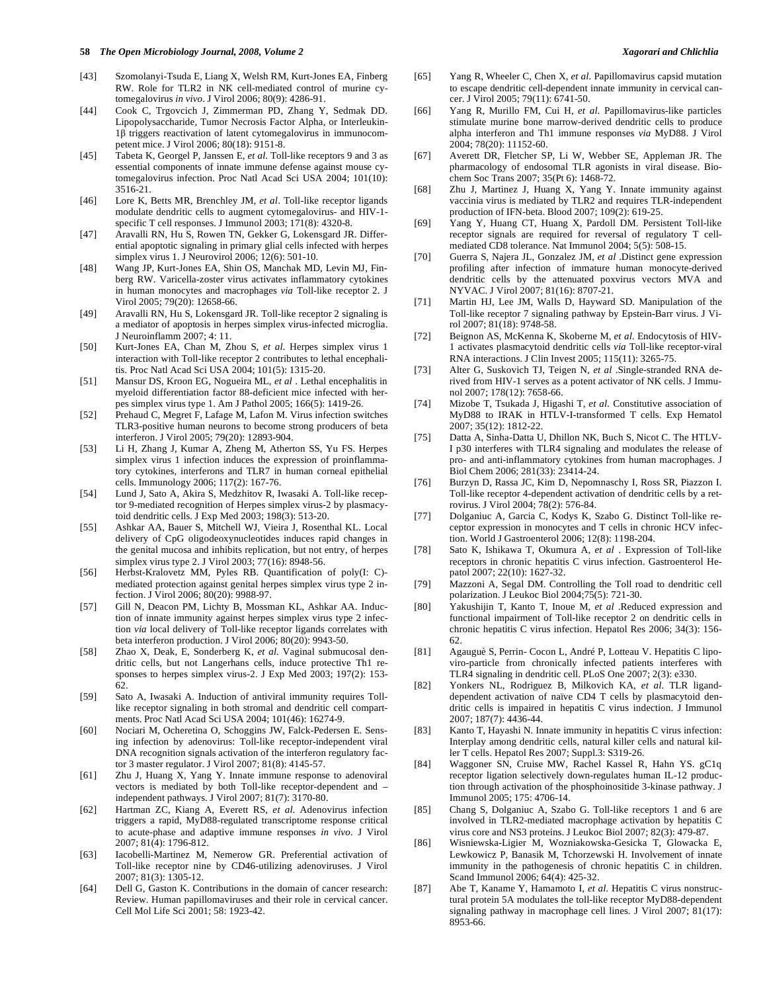- [43] Szomolanyi-Tsuda E, Liang X, Welsh RM, Kurt-Jones EA, Finberg RW. Role for TLR2 in NK cell-mediated control of murine cytomegalovirus *in vivo*. J Virol 2006; 80(9): 4286-91.
- [44] Cook C, Trgovcich J, Zimmerman PD, Zhang Y, Sedmak DD. Lipopolysaccharide, Tumor Necrosis Factor Alpha, or Interleukin- $1\beta$  triggers reactivation of latent cytomegalovirus in immunocompetent mice. J Virol 2006; 80(18): 9151-8.
- [45] Tabeta K, Georgel P, Janssen E, *et al*. Toll-like receptors 9 and 3 as essential components of innate immune defense against mouse cytomegalovirus infection. Proc Natl Acad Sci USA 2004; 101(10): 3516-21.
- [46] Lore K, Betts MR, Brenchley JM, *et al*. Toll-like receptor ligands modulate dendritic cells to augment cytomegalovirus- and HIV-1 specific T cell responses. J Immunol 2003; 171(8): 4320-8.
- [47] Aravalli RN, Hu S, Rowen TN, Gekker G, Lokensgard JR. Differential apoptotic signaling in primary glial cells infected with herpes simplex virus 1. J Neurovirol 2006; 12(6): 501-10.
- [48] Wang JP, Kurt-Jones EA, Shin OS, Manchak MD, Levin MJ, Finberg RW. Varicella-zoster virus activates inflammatory cytokines in human monocytes and macrophages *via* Toll-like receptor 2. J Virol 2005; 79(20): 12658-66.
- [49] Aravalli RN, Hu S, Lokensgard JR. Toll-like receptor 2 signaling is a mediator of apoptosis in herpes simplex virus-infected microglia. J Neuroinflamm 2007; 4: 11.
- [50] Kurt-Jones EA, Chan M, Zhou S, *et al*. Herpes simplex virus 1 interaction with Toll-like receptor 2 contributes to lethal encephalitis. Proc Natl Acad Sci USA 2004; 101(5): 1315-20.
- [51] Mansur DS, Kroon EG, Nogueira ML, *et al* . Lethal encephalitis in myeloid differentiation factor 88-deficient mice infected with herpes simplex virus type 1. Am J Pathol 2005; 166(5): 1419-26.
- [52] Prehaud C, Megret F, Lafage M, Lafon M. Virus infection switches TLR3-positive human neurons to become strong producers of beta interferon. J Virol 2005; 79(20): 12893-904.
- [53] Li H, Zhang J, Kumar A, Zheng M, Atherton SS, Yu FS. Herpes simplex virus 1 infection induces the expression of proinflammatory cytokines, interferons and TLR7 in human corneal epithelial cells. Immunology 2006; 117(2): 167-76.
- [54] Lund J, Sato A, Akira S, Medzhitov R, Iwasaki A. Toll-like receptor 9-mediated recognition of Herpes simplex virus-2 by plasmacytoid dendritic cells. J Exp Med 2003; 198(3): 513-20.
- [55] Ashkar AA, Bauer S, Mitchell WJ, Vieira J, Rosenthal KL. Local delivery of CpG oligodeoxynucleotides induces rapid changes in the genital mucosa and inhibits replication, but not entry, of herpes simplex virus type 2. J Virol 2003; 77(16): 8948-56.
- [56] Herbst-Kralovetz MM, Pyles RB. Quantification of poly(I: C) mediated protection against genital herpes simplex virus type 2 infection. J Virol 2006; 80(20): 9988-97.
- [57] Gill N, Deacon PM, Lichty B, Mossman KL, Ashkar AA. Induction of innate immunity against herpes simplex virus type 2 infection *via* local delivery of Toll-like receptor ligands correlates with beta interferon production. J Virol 2006; 80(20): 9943-50.
- [58] Zhao X, Deak, E, Sonderberg K, *et al*. Vaginal submucosal dendritic cells, but not Langerhans cells, induce protective Th1 responses to herpes simplex virus-2. J Exp Med 2003; 197(2): 153- 62.
- [59] Sato A, Iwasaki A. Induction of antiviral immunity requires Tolllike receptor signaling in both stromal and dendritic cell compartments. Proc Natl Acad Sci USA 2004; 101(46): 16274-9.
- [60] Nociari M, Ocheretina O, Schoggins JW, Falck-Pedersen E. Sensing infection by adenovirus: Toll-like receptor-independent viral DNA recognition signals activation of the interferon regulatory factor 3 master regulator. J Virol 2007; 81(8): 4145-57.
- [61] Zhu J, Huang X, Yang Y. Innate immune response to adenoviral vectors is mediated by both Toll-like receptor-dependent and – independent pathways. J Virol 2007; 81(7): 3170-80.
- [62] Hartman ZC, Kiang A, Everett RS, *et al*. Adenovirus infection triggers a rapid, MyD88-regulated transcriptome response critical to acute-phase and adaptive immune responses *in vivo*. J Virol 2007; 81(4): 1796-812.
- [63] Iacobelli-Martinez M, Nemerow GR. Preferential activation of Toll-like receptor nine by CD46-utilizing adenoviruses. J Virol 2007; 81(3): 1305-12.
- [64] Dell G, Gaston K. Contributions in the domain of cancer research: Review. Human papillomaviruses and their role in cervical cancer. Cell Mol Life Sci 2001; 58: 1923-42.
- [65] Yang R, Wheeler C, Chen X, *et al*. Papillomavirus capsid mutation to escape dendritic cell-dependent innate immunity in cervical cancer. J Virol 2005; 79(11): 6741-50.
- [66] Yang R, Murillo FM, Cui H, *et al*. Papillomavirus-like particles stimulate murine bone marrow-derived dendritic cells to produce alpha interferon and Th1 immune responses *via* MyD88. J Virol 2004; 78(20): 11152-60.
- [67] Averett DR, Fletcher SP, Li W, Webber SE, Appleman JR. The pharmacology of endosomal TLR agonists in viral disease. Biochem Soc Trans 2007; 35(Pt 6): 1468-72.
- [68] Zhu J, Martinez J, Huang X, Yang Y. Innate immunity against vaccinia virus is mediated by TLR2 and requires TLR-independent production of IFN-beta. Blood 2007; 109(2): 619-25.
- [69] Yang Y, Huang CT, Huang X, Pardoll DM. Persistent Toll-like receptor signals are required for reversal of regulatory T cellmediated CD8 tolerance. Nat Immunol 2004; 5(5): 508-15.
- [70] Guerra S, Najera JL, Gonzalez JM, *et al* .Distinct gene expression profiling after infection of immature human monocyte-derived dendritic cells by the attenuated poxvirus vectors MVA and NYVAC. J Virol 2007; 81(16): 8707-21.
- [71] Martin HJ, Lee JM, Walls D, Hayward SD. Manipulation of the Toll-like receptor 7 signaling pathway by Epstein-Barr virus. J Virol 2007; 81(18): 9748-58.
- [72] Beignon AS, McKenna K, Skoberne M, *et al*. Endocytosis of HIV-1 activates plasmacytoid dendritic cells *via* Toll-like receptor-viral RNA interactions. J Clin Invest 2005; 115(11): 3265-75.
- [73] Alter G, Suskovich TJ, Teigen N, *et al* .Single-stranded RNA derived from HIV-1 serves as a potent activator of NK cells. J Immunol 2007; 178(12): 7658-66.
- [74] Mizobe T, Tsukada J, Higashi T, *et al*. Constitutive association of MyD88 to IRAK in HTLV-I-transformed T cells. Exp Hematol 2007; 35(12): 1812-22.
- [75] Datta A, Sinha-Datta U, Dhillon NK, Buch S, Nicot C. The HTLV-I p30 interferes with TLR4 signaling and modulates the release of pro- and anti-inflammatory cytokines from human macrophages. J Biol Chem 2006; 281(33): 23414-24.
- [76] Burzyn D, Rassa JC, Kim D, Nepomnaschy I, Ross SR, Piazzon I. Toll-like receptor 4-dependent activation of dendritic cells by a retrovirus. J Virol 2004; 78(2): 576-84.
- [77] Dolganiuc A, Garcia C, Kodys K, Szabo G. Distinct Toll-like receptor expression in monocytes and T cells in chronic HCV infection. World J Gastroenterol 2006; 12(8): 1198-204.
- [78] Sato K, Ishikawa T, Okumura A, *et al* . Expression of Toll-like receptors in chronic hepatitis C virus infection. Gastroenterol Hepatol 2007; 22(10): 1627-32.
- [79] Mazzoni A, Segal DM. Controlling the Toll road to dendritic cell polarization. J Leukoc Biol 2004;75(5): 721-30.
- [80] Yakushijin T, Kanto T, Inoue M, *et al* .Reduced expression and functional impairment of Toll-like receptor 2 on dendritic cells in chronic hepatitis C virus infection. Hepatol Res 2006; 34(3): 156- 62.
- [81] Agauguè S, Perrin- Cocon L, André P, Lotteau V. Hepatitis C lipoviro-particle from chronically infected patients interferes with TLR4 signaling in dendritic cell. PLoS One 2007; 2(3): e330.
- [82] Yonkers NL, Rodriguez B, Milkovich KA, *et al*. TLR liganddependent activation of naïve CD4 T cells by plasmacytoid dendritic cells is impaired in hepatitis C virus indection. J Immunol 2007; 187(7): 4436-44.
- [83] Kanto T, Hayashi N. Innate immunity in hepatitis C virus infection: Interplay among dendritic cells, natural killer cells and natural killer T cells. Hepatol Res 2007; Suppl.3: S319-26.
- [84] Waggoner SN, Cruise MW, Rachel Kassel R, Hahn YS. gC1q receptor ligation selectively down-regulates human IL-12 production through activation of the phosphoinositide 3-kinase pathway. J Immunol 2005; 175: 4706-14.
- [85] Chang S, Dolganiuc A, Szabo G. Toll-like receptors 1 and 6 are involved in TLR2-mediated macrophage activation by hepatitis C virus core and NS3 proteins. J Leukoc Biol 2007; 82(3): 479-87.
- [86] Wisniewska-Ligier M, Wozniakowska-Gesicka T, Glowacka E, Lewkowicz P, Banasik M, Tchorzewski H. Involvement of innate immunity in the pathogenesis of chronic hepatitis C in children. Scand Immunol 2006; 64(4): 425-32.
- [87] Abe T, Kaname Y, Hamamoto I, *et al*. Hepatitis C virus nonstructural protein 5A modulates the toll-like receptor MyD88-dependent signaling pathway in macrophage cell lines. J Virol 2007; 81(17): 8953-66.